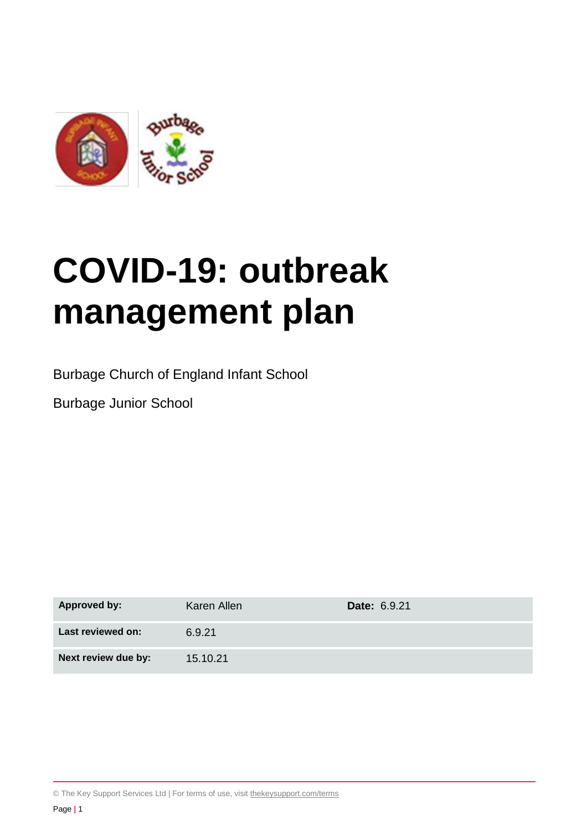

# **COVID-19: outbreak management plan**

Burbage Church of England Infant School

Burbage Junior School

| <b>Approved by:</b> | Karen Allen | <b>Date: 6.9.21</b> |
|---------------------|-------------|---------------------|
| Last reviewed on:   | 6.9.21      |                     |
| Next review due by: | 15.10.21    |                     |

© The Key Support Services Ltd | For terms of use, visit [thekeysupport.com/terms](https://thekeysupport.com/terms-of-use)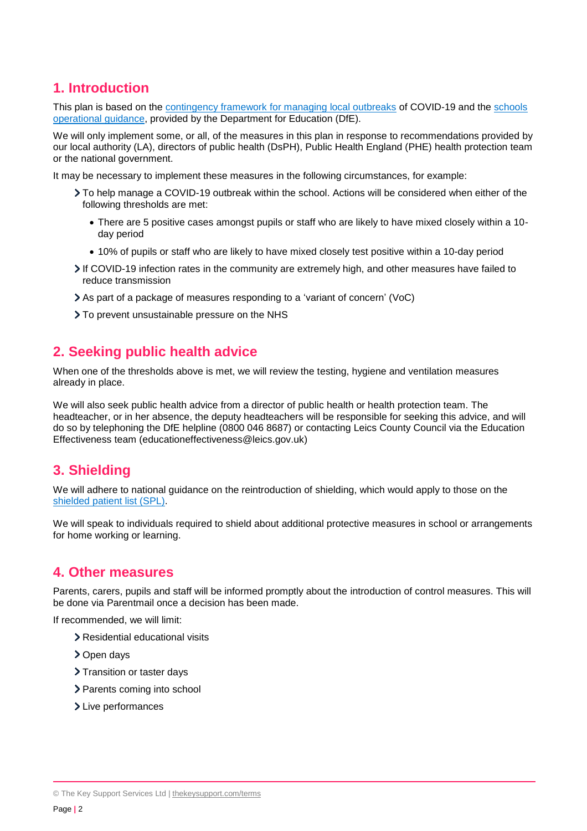# **1. Introduction**

This plan is based on the [contingency framework for managing local outbreaks](https://www.gov.uk/government/publications/coronavirus-covid-19-local-restrictions-in-education-and-childcare-settings) of COVID-19 and the [schools](https://www.gov.uk/government/publications/actions-for-schools-during-the-coronavirus-outbreak)  [operational guidance,](https://www.gov.uk/government/publications/actions-for-schools-during-the-coronavirus-outbreak) provided by the Department for Education (DfE).

We will only implement some, or all, of the measures in this plan in response to recommendations provided by our local authority (LA), directors of public health (DsPH), Public Health England (PHE) health protection team or the national government.

It may be necessary to implement these measures in the following circumstances, for example:

- To help manage a COVID-19 outbreak within the school. Actions will be considered when either of the following thresholds are met:
	- There are 5 positive cases amongst pupils or staff who are likely to have mixed closely within a 10 day period
	- 10% of pupils or staff who are likely to have mixed closely test positive within a 10-day period
- If COVID-19 infection rates in the community are extremely high, and other measures have failed to reduce transmission
- As part of a package of measures responding to a 'variant of concern' (VoC)
- > To prevent unsustainable pressure on the NHS

## **2. Seeking public health advice**

When one of the thresholds above is met, we will review the testing, hygiene and ventilation measures already in place.

We will also seek public health advice from a director of public health or health protection team. The headteacher, or in her absence, the deputy headteachers will be responsible for seeking this advice, and will do so by telephoning the DfE helpline (0800 046 8687) or contacting Leics County Council via the Education Effectiveness team (educationeffectiveness@leics.gov.uk)

# **3. Shielding**

We will adhere to national guidance on the reintroduction of shielding, which would apply to those on the shielded [patient list \(SPL\).](https://digital.nhs.uk/coronavirus/shielded-patient-list)

We will speak to individuals required to shield about additional protective measures in school or arrangements for home working or learning.

## **4. Other measures**

Parents, carers, pupils and staff will be informed promptly about the introduction of control measures. This will be done via Parentmail once a decision has been made.

If recommended, we will limit:

- > Residential educational visits
- > Open days
- > Transition or taster days
- > Parents coming into school
- > Live performances

<sup>©</sup> The Key Support Services Ltd | [thekeysupport.com/terms](https://thekeysupport.com/terms-of-use)